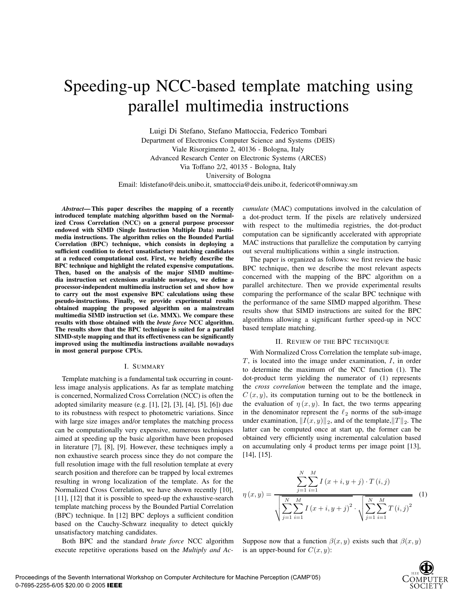# Speeding-up NCC-based template matching using parallel multimedia instructions

Luigi Di Stefano, Stefano Mattoccia, Federico Tombari Department of Electronics Computer Science and Systems (DEIS) Viale Risorgimento 2, 40136 - Bologna, Italy Advanced Research Center on Electronic Systems (ARCES) Via Toffano 2/2, 40135 - Bologna, Italy University of Bologna Email: ldistefano@deis.unibo.it, smattoccia@deis.unibo.it, federicot@omniway.sm

*Abstract***— This paper describes the mapping of a recently introduced template matching algorithm based on the Normalized Cross Correlation (NCC) on a general purpose processor endowed with SIMD (Single Instruction Multiple Data) multimedia instructions. The algorithm relies on the Bounded Partial Correlation (BPC) technique, which consists in deploying a sufficient condition to detect unsatisfactory matching candidates at a reduced computational cost. First, we briefly describe the BPC technique and highlight the related expensive computations. Then, based on the analysis of the major SIMD multimedia instruction set extensions available nowadays, we define a processor-independent multimedia instruction set and show how to carry out the most expensive BPC calculations using these pseudo-instructions. Finally, we provide experimental results obtained mapping the proposed algorithm on a mainstream multimedia SIMD instruction set (i.e. MMX). We compare these results with those obtained with the** *brute force* **NCC algorithm. The results show that the BPC technique is suited for a parallel SIMD-style mapping and that its effectiveness can be significantly improved using the multimedia instructions available nowadays in most general purpose CPUs.**

#### I. SUMMARY

Template matching is a fundamental task occurring in countless image analysis applications. As far as template matching is concerned, Normalized Cross Correlation (NCC) is often the adopted similarity measure (e.g. [1], [2], [3], [4], [5], [6]) due to its robustness with respect to photometric variations. Since with large size images and/or templates the matching process can be computationally very expensive, numerous techniques aimed at speeding up the basic algorithm have been proposed in literature [7], [8], [9]. However, these techniques imply a non exhaustive search process since they do not compare the full resolution image with the full resolution template at every search position and therefore can be trapped by local extremes resulting in wrong localization of the template. As for the Normalized Cross Correlation, we have shown recently [10], [11], [12] that it is possible to speed-up the exhaustive-search template matching process by the Bounded Partial Correlation (BPC) technique. In [12] BPC deploys a sufficient condition based on the Cauchy-Schwarz inequality to detect quickly unsatisfactory matching candidates.

Both BPC and the standard *brute force* NCC algorithm execute repetitive operations based on the *Multiply and Ac-* *cumulate* (MAC) computations involved in the calculation of a dot-product term. If the pixels are relatively undersized with respect to the multimedia registries, the dot-product computation can be significantly accelerated with appropriate MAC instructions that parallelize the computation by carrying out several multiplications within a single instruction.

The paper is organized as follows: we first review the basic BPC technique, then we describe the most relevant aspects concerned with the mapping of the BPC algorithm on a parallel architecture. Then we provide experimental results comparing the performance of the scalar BPC technique with the performance of the same SIMD mapped algorithm. These results show that SIMD instructions are suited for the BPC algorithms allowing a significant further speed-up in NCC based template matching.

#### II. REVIEW OF THE BPC TECHNIQUE

With Normalized Cross Correlation the template sub-image,  $T$ , is located into the image under examination,  $I$ , in order to determine the maximum of the NCC function (1). The dot-product term yielding the numerator of (1) represents the *cross correlation* between the template and the image,  $C(x, y)$ , its computation turning out to be the bottleneck in the evaluation of  $\eta(x, y)$ . In fact, the two terms appearing in the denominator represent the  $\ell_2$  norms of the sub-image under examination,  $||I(x, y)||_2$ , and of the template,  $||T||_2$ . The latter can be computed once at start up, the former can be obtained very efficiently using incremental calculation based on accumulating only 4 product terms per image point [13], [14], [15].

$$
\eta(x,y) = \frac{\sum_{j=1}^{N} \sum_{i=1}^{M} I(x+i, y+j) \cdot T(i,j)}{\sqrt{\sum_{j=1}^{N} \sum_{i=1}^{M} I(x+i, y+j)^{2}} \cdot \sqrt{\sum_{j=1}^{N} \sum_{i=1}^{M} T(i,j)^{2}}}
$$
(1)

Suppose now that a function  $\beta(x, y)$  exists such that  $\beta(x, y)$ is an upper-bound for  $C(x, y)$ :

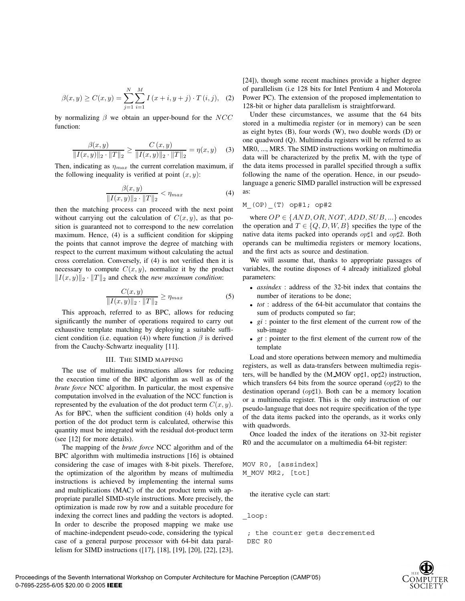$$
\beta(x, y) \ge C(x, y) = \sum_{j=1}^{N} \sum_{i=1}^{M} I(x + i, y + j) \cdot T(i, j), \quad (2)
$$

by normalizing  $\beta$  we obtain an upper-bound for the NCC function:

$$
\frac{\beta(x,y)}{\|I(x,y)\|_2 \cdot \|T\|_2} \ge \frac{C(x,y)}{\|I(x,y)\|_2 \cdot \|T\|_2} = \eta(x,y) \quad (3)
$$

Then, indicating as  $\eta_{max}$  the current correlation maximum, if the following inequality is verified at point  $(x, y)$ :

$$
\frac{\beta(x,y)}{\|I(x,y)\|_2 \cdot \|T\|_2} < \eta_{max} \tag{4}
$$

then the matching process can proceed with the next point without carrying out the calculation of  $C(x, y)$ , as that position is guaranteed not to correspond to the new correlation maximum. Hence, (4) is a sufficient condition for skipping the points that cannot improve the degree of matching with respect to the current maximum without calculating the actual cross correlation. Conversely, if (4) is not verified then it is necessary to compute  $C(x, y)$ , normalize it by the product  $||I(x, y)||_2 \cdot ||T||_2$  and check the *new maximum condition*:

$$
\frac{C(x,y)}{\|I(x,y)\|_2 \cdot \|T\|_2} \ge \eta_{max} \tag{5}
$$

This approach, referred to as BPC, allows for reducing significantly the number of operations required to carry out exhaustive template matching by deploying a suitable sufficient condition (i.e. equation (4)) where function  $\beta$  is derived from the Cauchy-Schwartz inequality [11].

## III. THE SIMD MAPPING

The use of multimedia instructions allows for reducing the execution time of the BPC algorithm as well as of the *brute force* NCC algorithm. In particular, the most expensive computation involved in the evaluation of the NCC function is represented by the evaluation of the dot product term  $C(x, y)$ . As for BPC, when the sufficient condition (4) holds only a portion of the dot product term is calculated, otherwise this quantity must be integrated with the residual dot-product term (see [12] for more details).

The mapping of the *brute force* NCC algorithm and of the BPC algorithm with multimedia instructions [16] is obtained considering the case of images with 8-bit pixels. Therefore, the optimization of the algorithm by means of multimedia instructions is achieved by implementing the internal sums and multiplications (MAC) of the dot product term with appropriate parallel SIMD-style instructions. More precisely, the optimization is made row by row and a suitable procedure for indexing the correct lines and padding the vectors is adopted. In order to describe the proposed mapping we make use of machine-independent pseudo-code, considering the typical case of a general purpose processor with 64-bit data parallelism for SIMD instructions ([17], [18], [19], [20], [22], [23],

[24]), though some recent machines provide a higher degree of parallelism (i.e 128 bits for Intel Pentium 4 and Motorola Power PC). The extension of the proposed implementation to 128-bit or higher data parallelism is straightforward.

Under these circumstances, we assume that the 64 bits stored in a multimedia register (or in memory) can be seen as eight bytes (B), four words (W), two double words (D) or one quadword (Q). Multimedia registers will be referred to as MR0, ..., MR5. The SIMD instructions working on multimedia data will be characterized by the prefix M, with the type of the data items processed in parallel specified through a suffix following the name of the operation. Hence, in our pseudolanguage a generic SIMD parallel instruction will be expressed as:

## M\_(OP)\_(T) op#1; op#2

where  $OP \in \{AND, OR, NOT, ADD, SUB, ...\}$  encodes the operation and  $T \in \{Q, D, W, B\}$  specifies the type of the native data items packed into operands  $op\sharp 1$  and  $op\sharp 2$ . Both operands can be multimedia registers or memory locations, and the first acts as source and destination.

We will assume that, thanks to appropriate passages of variables, the routine disposes of 4 already initialized global parameters:

- *assindex* : address of the 32-bit index that contains the number of iterations to be done;
- *tot* : address of the 64-bit accumulator that contains the sum of products computed so far;
- *gi* : pointer to the first element of the current row of the sub-image
- *gt* : pointer to the first element of the current row of the template

Load and store operations between memory and multimedia registers, as well as data-transfers between multimedia registers, will be handled by the  $(M_MOV$  op $\sharp 1$ , op $\sharp 2$ ) instruction, which transfers 64 bits from the source operand  $(op\sharp2)$  to the destination operand ( $op\sharp$ 1). Both can be a memory location or a multimedia register. This is the only instruction of our pseudo-language that does not require specification of the type of the data items packed into the operands, as it works only with quadwords.

Once loaded the index of the iterations on 32-bit register R0 and the accumulator on a multimedia 64-bit register:

```
MOV R0, [assindex]
M_MOV MR2, [tot]
```
the iterative cycle can start:

\_loop:

; the counter gets decremented DEC R0

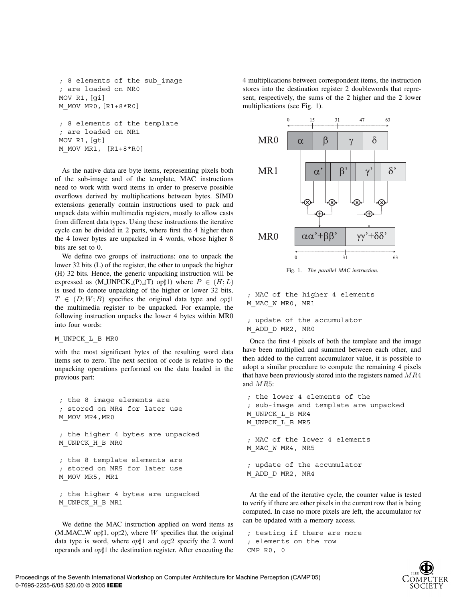```
; 8 elements of the sub_image
; are loaded on MR0
MOV R1,[gi]
M_MOV MR0,[R1+8*R0]
; 8 elements of the template
; are loaded on MR1
MOV R1,[gt]
M_MOV MR1, [R1+8*R0]
```
As the native data are byte items, representing pixels both of the sub-image and of the template, MAC instructions need to work with word items in order to preserve possible overflows derived by multiplications between bytes. SIMD extensions generally contain instructions used to pack and unpack data within multimedia registers, mostly to allow casts from different data types. Using these instructions the iterative cycle can be divided in 2 parts, where first the 4 higher then the 4 lower bytes are unpacked in 4 words, whose higher 8 bits are set to 0.

We define two groups of instructions: one to unpack the lower 32 bits (L) of the register, the other to unpack the higher (H) 32 bits. Hence, the generic unpacking instruction will be expressed as  $(M UNPCK (P) (T)$  op $\sharp 1)$  where  $P \in (H; L)$ is used to denote unpacking of the higher or lower 32 bits,  $T \in (D; W; B)$  specifies the original data type and  $op\sharp 1$ the multimedia register to be unpacked. For example, the following instruction unpacks the lower 4 bytes within MR0 into four words:

M\_UNPCK\_L\_B MR0

M\_UNPCK\_H\_B MR1

with the most significant bytes of the resulting word data items set to zero. The next section of code is relative to the unpacking operations performed on the data loaded in the previous part:

; the 8 image elements are ; stored on MR4 for later use M\_MOV MR4,MR0 ; the higher 4 bytes are unpacked M\_UNPCK\_H\_B MR0 ; the 8 template elements are ; stored on MR5 for later use M\_MOV MR5, MR1 ; the higher 4 bytes are unpacked

We define the MAC instruction applied on word items as  $(M_MAC_W)$  optil, optil, where W specifies that the original data type is word, where  $op\sharp 1$  and  $op\sharp 2$  specify the 2 word operands and  $op\sharp 1$  the destination register. After executing the 4 multiplications between correspondent items, the instruction stores into the destination register 2 doublewords that represent, respectively, the sums of the 2 higher and the 2 lower multiplications (see Fig. 1).



Fig. 1. *The parallel MAC instruction.*

; MAC of the higher 4 elements M\_MAC\_W MR0, MR1

```
; update of the accumulator
M_ADD_D MR2, MR0
```
Once the first 4 pixels of both the template and the image have been multiplied and summed between each other, and then added to the current accumulator value, it is possible to adopt a similar procedure to compute the remaining 4 pixels that have been previously stored into the registers named  $MR4$ and MR5:

```
; the lower 4 elements of the
; sub-image and template are unpacked
M_UNPCK_L_B MR4
M_UNPCK_L_B MR5
; MAC of the lower 4 elements
M_MAC_W MR4, MR5
; update of the accumulator
M_ADD_D MR2, MR4
```
At the end of the iterative cycle, the counter value is tested to verify if there are other pixels in the current row that is being computed. In case no more pixels are left, the accumulator *tot* can be updated with a memory access.

```
; testing if there are more
; elements on the row
CMP R0, 0
```
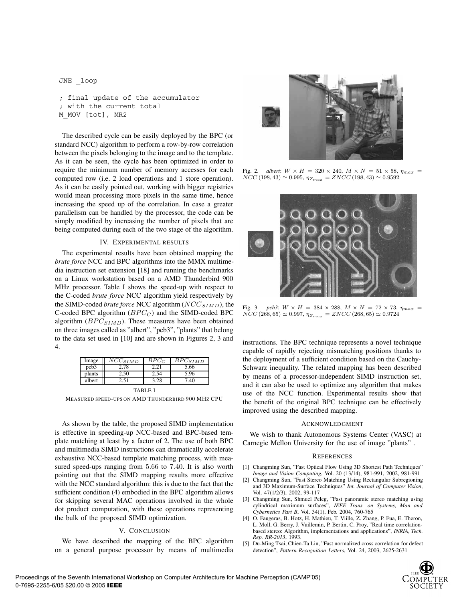JNE \_loop

```
; final update of the accumulator
; with the current total
M_MOV [tot], MR2
```
The described cycle can be easily deployed by the BPC (or standard NCC) algorithm to perform a row-by-row correlation between the pixels belonging to the image and to the template. As it can be seen, the cycle has been optimized in order to require the minimum number of memory accesses for each computed row (i.e. 2 load operations and 1 store operation). As it can be easily pointed out, working with bigger registries would mean processing more pixels in the same time, hence increasing the speed up of the correlation. In case a greater parallelism can be handled by the processor, the code can be simply modified by increasing the number of pixels that are being computed during each of the two stage of the algorithm.

## IV. EXPERIMENTAL RESULTS

The experimental results have been obtained mapping the *brute force* NCC and BPC algorithms into the MMX multimedia instruction set extension [18] and running the benchmarks on a Linux workstation based on a AMD Thunderbird 900 MHz processor. Table I shows the speed-up with respect to the C-coded *brute force* NCC algorithm yield respectively by the SIMD-coded *brute force* NCC algorithm (NCC<sub>SIMD</sub>), the C-coded BPC algorithm  $(BPC_C)$  and the SIMD-coded BPC algorithm  $(BPC_{SIMD})$ . These measures have been obtained on three images called as "albert", "pcb3", "plants" that belong to the data set used in [10] and are shown in Figures 2, 3 and 4.

| Image            | $\overline{NCC_{SIMD}}$ | $BPC_C$ | $\bar BPC_{SIMD}$ |
|------------------|-------------------------|---------|-------------------|
| pcb <sub>3</sub> |                         |         | 5.66              |
| plants           |                         |         | 5.96              |
| albert           |                         | 3.28    |                   |
| TA RI E          |                         |         |                   |

MEASURED SPEED-UPS ON AMD THUNDERBIRD 900 MHZ CPU

As shown by the table, the proposed SIMD implementation is effective in speeding-up NCC-based and BPC-based template matching at least by a factor of 2. The use of both BPC and multimedia SIMD instructions can dramatically accelerate exhaustive NCC-based template matching process, with measured speed-ups ranging from 5.66 to 7.40. It is also worth pointing out that the SIMD mapping results more effective with the NCC standard algorithm: this is due to the fact that the sufficient condition (4) embodied in the BPC algorithm allows for skipping several MAC operations involved in the whole dot product computation, with these operations representing the bulk of the proposed SIMD optimization.

## V. CONCLUSION

We have described the mapping of the BPC algorithm on a general purpose processor by means of multimedia



Fig. 2. *albert*:  $W \times H = 320 \times 240$ ,  $M \times N = 51 \times 58$ ,  $\eta_{max}$  $NCC (198, 43) \simeq 0.995$ ,  $\eta_{Z_{max}} = ZNCC (198, 43) \simeq 0.9592$ 



Fig. 3. *pcb3*:  $W \times H = 384 \times 288$ ,  $M \times N = 72 \times 73$ ,  $\eta_{max}$  $NCC (268, 65) \simeq 0.997, \eta_{Z_{max}} = ZNCC (268, 65) \simeq 0.9724$ 

instructions. The BPC technique represents a novel technique capable of rapidly rejecting mismatching positions thanks to the deployment of a sufficient condition based on the Cauchy-Schwarz inequality. The related mapping has been described by means of a processor-independent SIMD instruction set, and it can also be used to optimize any algorithm that makes use of the NCC function. Experimental results show that the benefit of the original BPC technique can be effectively improved using the described mapping.

## ACKNOWLEDGMENT

We wish to thank Autonomous Systems Center (VASC) at Carnegie Mellon University for the use of image "plants" .

#### **REFERENCES**

- [1] Changming Sun, "Fast Optical Flow Using 3D Shortest Path Techniques" *Image and Vision Computing*, Vol. 20 (13/14), 981-991, 2002, 981-991
- [2] Changming Sun, "Fast Stereo Matching Using Rectangular Subregioning and 3D Maximum-Surface Techniques" *Int. Journal of Computer Vision*, Vol. 47(1/2/3), 2002, 99-117
- [3] Changming Sun, Shmuel Peleg, "Fast panoramic stereo matching using cylindrical maximum surfaces", *IEEE Trans. on Systems, Man and Cybernetics Part B*, Vol. 34(1), Feb. 2004, 760-765
- [4] O. Faugeras, B. Hotz, H. Mathieu, T. Viille, Z. Zhang, P. Fua, E. Theron, L. Moll, G. Berry, J. Vuillemin, P. Bertin, C. Proy, "Real time correlationbased stereo: Algorithm, implementations and applications", *INRIA, Tech. Rep. RR-2013*, 1993.
- [5] Du-Ming Tsai, Chien-Ta Lin, "Fast normalized cross correlation for defect detection", *Pattern Recognition Letters*, Vol. 24, 2003, 2625-2631